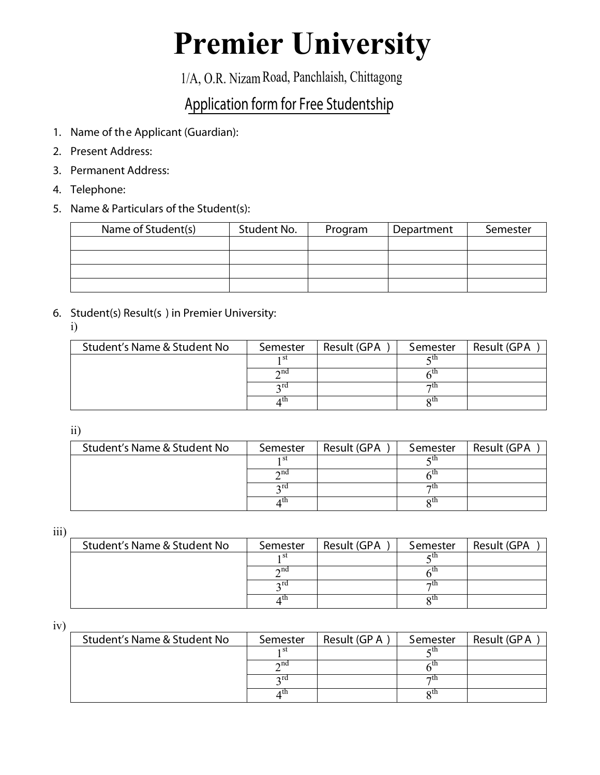# **Premier University**

1/A, O.R. Nizam Road, Panchlaish, Chittagong

## Application form for Free Studentship

- 1. Name of the Applicant (Guardian):
- 2. Present Address:
- 3. Permanent Address:
- 4. Telephone:
- 5. Name & Particulars of the Student(s):

| Name of Student(s) | Student No. | Program | Department | Semester |
|--------------------|-------------|---------|------------|----------|
|                    |             |         |            |          |
|                    |             |         |            |          |
|                    |             |         |            |          |
|                    |             |         |            |          |

6. Student(s) Result(s ) in Premier University:

i)

| Student's Name & Student No | Semester    | Result (GPA | Semester  | Result (GPA |
|-----------------------------|-------------|-------------|-----------|-------------|
|                             | 1 St        |             | гu        |             |
|                             | $\gamma$ nd |             |           |             |
|                             | $\gamma$ rd |             | $\neg$ tn |             |
|                             |             |             | ΩU        |             |

ii)

| Student's Name & Student No | Semester    | Result (GPA | Semester  | Result (GPA |
|-----------------------------|-------------|-------------|-----------|-------------|
|                             | 1 St        |             | cш        |             |
|                             | $\gamma$ nd |             |           |             |
|                             | $\gamma$ ra |             | $\neg$ tn |             |
|                             | ı th        |             | οU        |             |

iii)

| Student's Name & Student No | Semester     | Result (GPA | Semester  | Result (GPA |
|-----------------------------|--------------|-------------|-----------|-------------|
|                             | 1 St         |             | eш        |             |
|                             | $\lambda$ nd |             |           |             |
|                             | $\gamma$ rd  |             | $\neg$ th |             |
|                             | 4 U.N        |             | oth       |             |

iv)

| Student's Name & Student No | Semester    | Result (GP A | Semester  | Result (GPA |
|-----------------------------|-------------|--------------|-----------|-------------|
|                             | ı st        |              | 5 U.I     |             |
|                             | $\gamma$ nd |              |           |             |
|                             | $\gamma$ ra |              | $\neg$ tn |             |
|                             |             |              | oμ        |             |